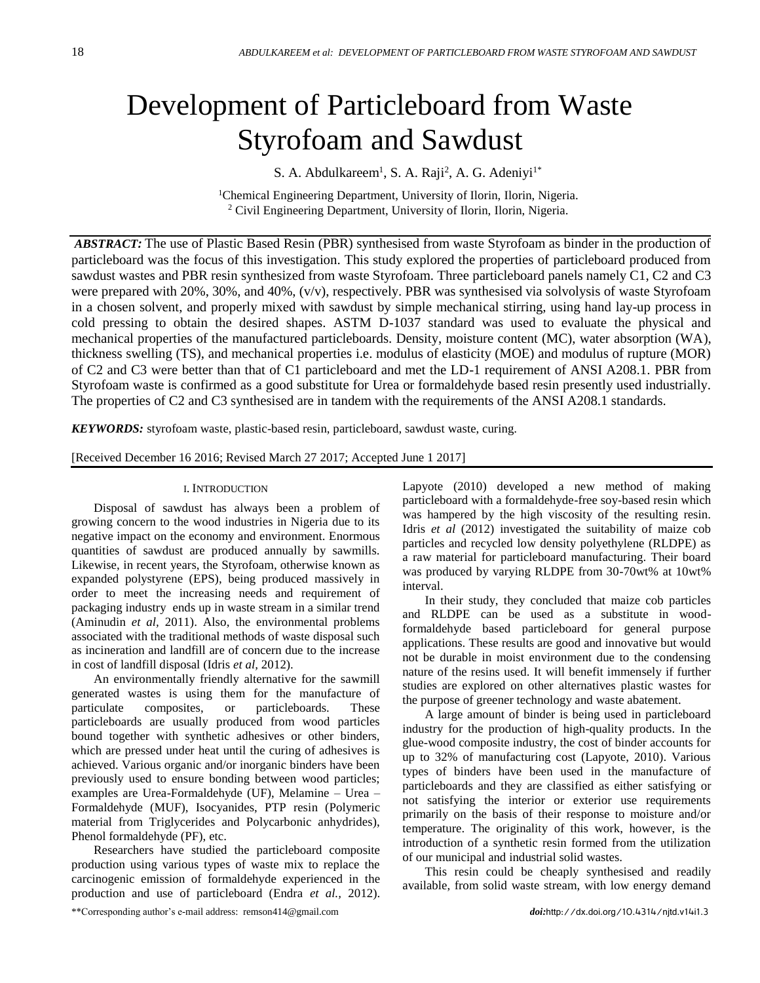# Development of Particleboard from Waste Styrofoam and Sawdust

S. A. Abdulkareem<sup>1</sup>, S. A. Raji<sup>2</sup>, A. G. Adeniyi<sup>1\*</sup>

<sup>1</sup>Chemical Engineering Department, University of Ilorin, Ilorin, Nigeria. <sup>2</sup> Civil Engineering Department, University of Ilorin, Ilorin, Nigeria.

*ABSTRACT:* The use of Plastic Based Resin (PBR) synthesised from waste Styrofoam as binder in the production of particleboard was the focus of this investigation. This study explored the properties of particleboard produced from sawdust wastes and PBR resin synthesized from waste Styrofoam. Three particleboard panels namely C1, C2 and C3 were prepared with 20%, 30%, and 40%, (v/v), respectively. PBR was synthesised via solvolysis of waste Styrofoam in a chosen solvent, and properly mixed with sawdust by simple mechanical stirring, using hand lay-up process in cold pressing to obtain the desired shapes. ASTM D-1037 standard was used to evaluate the physical and mechanical properties of the manufactured particleboards. Density, moisture content (MC), water absorption (WA), thickness swelling (TS), and mechanical properties i.e. modulus of elasticity (MOE) and modulus of rupture (MOR) of C2 and C3 were better than that of C1 particleboard and met the LD-1 requirement of ANSI A208.1. PBR from Styrofoam waste is confirmed as a good substitute for Urea or formaldehyde based resin presently used industrially. The properties of C2 and C3 synthesised are in tandem with the requirements of the ANSI A208.1 standards.

*KEYWORDS:* styrofoam waste, plastic-based resin, particleboard, sawdust waste, curing.

[Received December 16 2016; Revised March 27 2017; Accepted June 1 2017]

# I. INTRODUCTION

Disposal of sawdust has always been a problem of growing concern to the wood industries in Nigeria due to its negative impact on the economy and environment. Enormous quantities of sawdust are produced annually by sawmills. Likewise, in recent years, the Styrofoam, otherwise known as expanded polystyrene (EPS), being produced massively in order to meet the increasing needs and requirement of packaging industry ends up in waste stream in a similar trend (Aminudin *et al,* 2011). Also, the environmental problems associated with the traditional methods of waste disposal such as incineration and landfill are of concern due to the increase in cost of landfill disposal (Idris *et al,* 2012).

An environmentally friendly alternative for the sawmill generated wastes is using them for the manufacture of particulate composites, or particleboards. These particleboards are usually produced from wood particles bound together with synthetic adhesives or other binders, which are pressed under heat until the curing of adhesives is achieved. Various organic and/or inorganic binders have been previously used to ensure bonding between wood particles; examples are Urea-Formaldehyde (UF), Melamine – Urea – Formaldehyde (MUF), Isocyanides, PTP resin (Polymeric material from Triglycerides and Polycarbonic anhydrides), Phenol formaldehyde (PF), etc.

Researchers have studied the particleboard composite production using various types of waste mix to replace the carcinogenic emission of formaldehyde experienced in the production and use of particleboard (Endra *et al.,* 2012).

Lapyote (2010) developed a new method of making particleboard with a formaldehyde-free soy-based resin which was hampered by the high viscosity of the resulting resin. Idris *et al* (2012) investigated the suitability of maize cob particles and recycled low density polyethylene (RLDPE) as a raw material for particleboard manufacturing. Their board was produced by varying RLDPE from 30-70wt% at 10wt% interval.

In their study, they concluded that maize cob particles and RLDPE can be used as a substitute in woodformaldehyde based particleboard for general purpose applications. These results are good and innovative but would not be durable in moist environment due to the condensing nature of the resins used. It will benefit immensely if further studies are explored on other alternatives plastic wastes for the purpose of greener technology and waste abatement.

A large amount of binder is being used in particleboard industry for the production of high-quality products. In the glue-wood composite industry, the cost of binder accounts for up to 32% of manufacturing cost (Lapyote, 2010). Various types of binders have been used in the manufacture of particleboards and they are classified as either satisfying or not satisfying the interior or exterior use requirements primarily on the basis of their response to moisture and/or temperature. The originality of this work, however, is the introduction of a synthetic resin formed from the utilization of our municipal and industrial solid wastes.

This resin could be cheaply synthesised and readily available, from solid waste stream, with low energy demand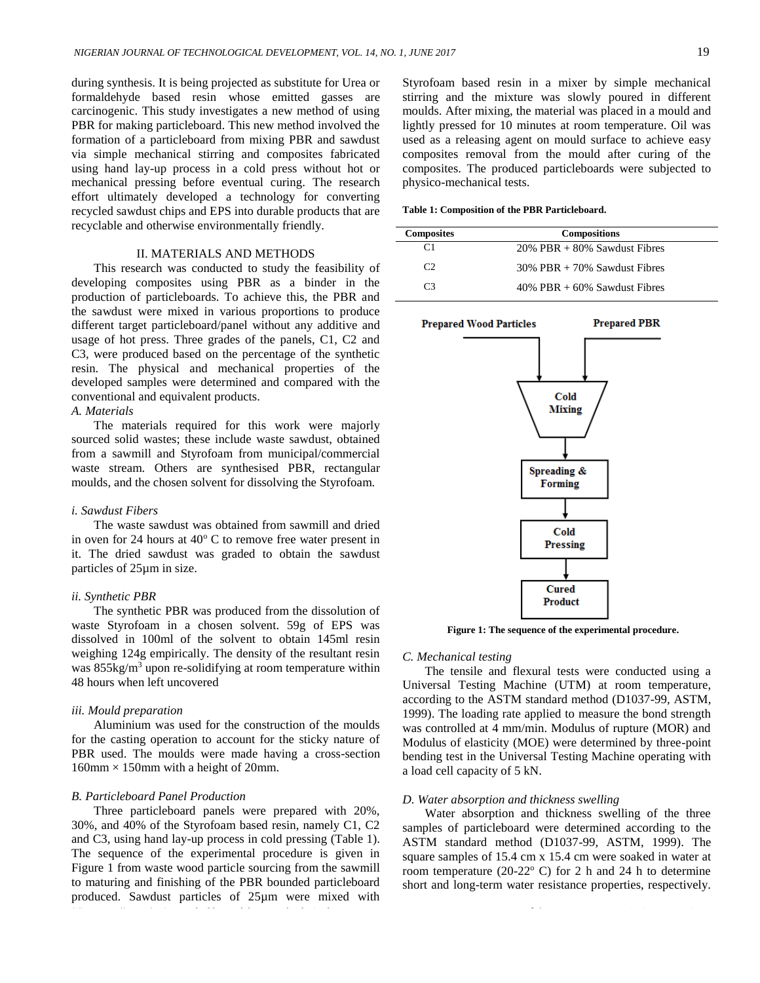during synthesis. It is being projected as substitute for Urea or formaldehyde based resin whose emitted gasses are carcinogenic. This study investigates a new method of using PBR for making particleboard. This new method involved the formation of a particleboard from mixing PBR and sawdust via simple mechanical stirring and composites fabricated using hand lay-up process in a cold press without hot or mechanical pressing before eventual curing. The research effort ultimately developed a technology for converting recycled sawdust chips and EPS into durable products that are recyclable and otherwise environmentally friendly.

# II. MATERIALS AND METHODS

This research was conducted to study the feasibility of developing composites using PBR as a binder in the production of particleboards. To achieve this, the PBR and the sawdust were mixed in various proportions to produce different target particleboard/panel without any additive and usage of hot press. Three grades of the panels, C1, C2 and C3, were produced based on the percentage of the synthetic resin. The physical and mechanical properties of the developed samples were determined and compared with the conventional and equivalent products.

# *A. Materials*

The materials required for this work were majorly sourced solid wastes; these include waste sawdust, obtained from a sawmill and Styrofoam from municipal/commercial waste stream. Others are synthesised PBR, rectangular moulds, and the chosen solvent for dissolving the Styrofoam.

#### *i. Sawdust Fibers*

The waste sawdust was obtained from sawmill and dried in oven for 24 hours at  $40^{\circ}$  C to remove free water present in it. The dried sawdust was graded to obtain the sawdust particles of 25µm in size.

#### *ii. Synthetic PBR*

The synthetic PBR was produced from the dissolution of waste Styrofoam in a chosen solvent. 59g of EPS was dissolved in 100ml of the solvent to obtain 145ml resin weighing 124g empirically. The density of the resultant resin was 855kg/m<sup>3</sup> upon re-solidifying at room temperature within 48 hours when left uncovered

#### *iii. Mould preparation*

Aluminium was used for the construction of the moulds for the casting operation to account for the sticky nature of PBR used. The moulds were made having a cross-section  $160$ mm  $\times$  150mm with a height of 20mm.

# *B. Particleboard Panel Production*

Three particleboard panels were prepared with 20%, 30%, and 40% of the Styrofoam based resin, namely C1, C2 and C3, using hand lay-up process in cold pressing (Table 1). The sequence of the experimental procedure is given in Figure 1 from waste wood particle sourcing from the sawmill to maturing and finishing of the PBR bounded particleboard produced. Sawdust particles of 25µm were mixed with

Styrofoam based resin in a mixer by simple mechanical stirring and the mixture was slowly poured in different moulds. After mixing, the material was placed in a mould and lightly pressed for 10 minutes at room temperature. Oil was used as a releasing agent on mould surface to achieve easy composites removal from the mould after curing of the composites. The produced particleboards were subjected to physico-mechanical tests.

**Table 1: Composition of the PBR Particleboard.**

| <b>Composites</b> | <b>Compositions</b>               |  |  |  |
|-------------------|-----------------------------------|--|--|--|
|                   | $20\%$ PBR $+80\%$ Sawdust Fibres |  |  |  |
| C2                | $30\%$ PBR $+70\%$ Sawdust Fibres |  |  |  |
| $\mathsf{C}^3$    | $40\%$ PBR $+60\%$ Sawdust Fibres |  |  |  |



**Figure 1: The sequence of the experimental procedure.**

#### *C. Mechanical testing*

The tensile and flexural tests were conducted using a Universal Testing Machine (UTM) at room temperature, according to the ASTM standard method (D1037-99, ASTM, 1999). The loading rate applied to measure the bond strength was controlled at 4 mm/min. Modulus of rupture (MOR) and Modulus of elasticity (MOE) were determined by three-point bending test in the Universal Testing Machine operating with a load cell capacity of 5 kN.

## *D. Water absorption and thickness swelling*

Water absorption and thickness swelling of the three samples of particleboard were determined according to the ASTM standard method (D1037-99, ASTM, 1999). The square samples of 15.4 cm x 15.4 cm were soaked in water at room temperature (20-22 $\degree$  C) for 2 h and 24 h to determine short and long-term water resistance properties, respectively.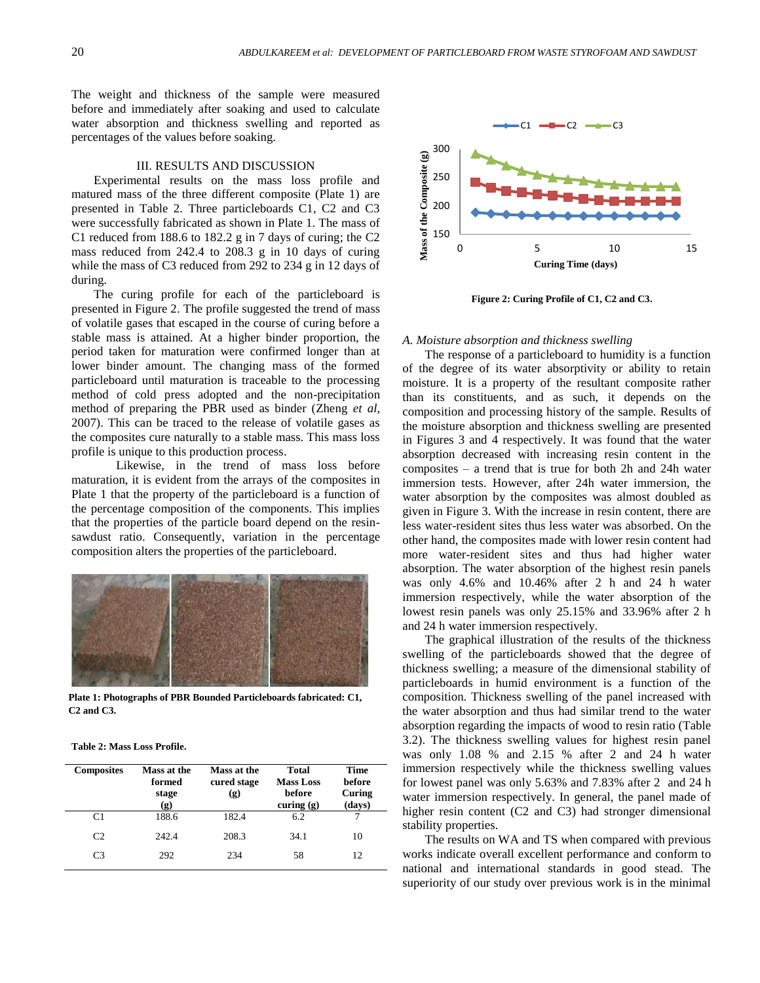The weight and thickness of the sample were measured before and immediately after soaking and used to calculate water absorption and thickness swelling and reported as percentages of the values before soaking.

#### III. RESULTS AND DISCUSSION

Experimental results on the mass loss profile and matured mass of the three different composite (Plate 1) are presented in Table 2. Three particleboards C1, C2 and C3 were successfully fabricated as shown in Plate 1. The mass of C1 reduced from 188.6 to 182.2 g in 7 days of curing; the C2 mass reduced from 242.4 to 208.3 g in 10 days of curing while the mass of C3 reduced from 292 to 234 g in 12 days of during.

The curing profile for each of the particleboard is presented in Figure 2. The profile suggested the trend of mass of volatile gases that escaped in the course of curing before a stable mass is attained. At a higher binder proportion, the period taken for maturation were confirmed longer than at lower binder amount. The changing mass of the formed particleboard until maturation is traceable to the processing method of cold press adopted and the non-precipitation method of preparing the PBR used as binder (Zheng *et al,* 2007). This can be traced to the release of volatile gases as the composites cure naturally to a stable mass. This mass loss profile is unique to this production process.

Likewise, in the trend of mass loss before maturation, it is evident from the arrays of the composites in Plate 1 that the property of the particleboard is a function of the percentage composition of the components. This implies that the properties of the particle board depend on the resinsawdust ratio. Consequently, variation in the percentage composition alters the properties of the particleboard.



**Plate 1: Photographs of PBR Bounded Particleboards fabricated: C1, C2 and C3.**

**Table 2: Mass Loss Profile.**

| <b>Composites</b> | Mass at the<br>formed<br>stage<br>(g) | Mass at the<br>cured stage<br>(g) | <b>Total</b><br><b>Mass Loss</b><br>before<br>curing $(g)$ | Time<br><b>before</b><br>Curing<br>(days) |
|-------------------|---------------------------------------|-----------------------------------|------------------------------------------------------------|-------------------------------------------|
| C1                | 188.6                                 | 182.4                             | 6.2                                                        |                                           |
| C <sub>2</sub>    | 242.4                                 | 208.3                             | 34.1                                                       | 10                                        |
| C <sub>3</sub>    | 292                                   | 234                               | 58                                                         | 12                                        |



**Figure 2: Curing Profile of C1, C2 and C3.**

#### *A. Moisture absorption and thickness swelling*

The response of a particleboard to humidity is a function of the degree of its water absorptivity or ability to retain moisture. It is a property of the resultant composite rather than its constituents, and as such, it depends on the composition and processing history of the sample. Results of the moisture absorption and thickness swelling are presented in Figures 3 and 4 respectively. It was found that the water absorption decreased with increasing resin content in the composites – a trend that is true for both 2h and 24h water immersion tests. However, after 24h water immersion, the water absorption by the composites was almost doubled as given in Figure 3. With the increase in resin content, there are less water-resident sites thus less water was absorbed. On the other hand, the composites made with lower resin content had more water-resident sites and thus had higher water absorption. The water absorption of the highest resin panels was only 4.6% and 10.46% after 2 h and 24 h water immersion respectively, while the water absorption of the lowest resin panels was only 25.15% and 33.96% after 2 h and 24 h water immersion respectively.

The graphical illustration of the results of the thickness swelling of the particleboards showed that the degree of thickness swelling; a measure of the dimensional stability of particleboards in humid environment is a function of the composition. Thickness swelling of the panel increased with the water absorption and thus had similar trend to the water absorption regarding the impacts of wood to resin ratio (Table 3.2). The thickness swelling values for highest resin panel was only 1.08 % and 2.15 % after 2 and 24 h water immersion respectively while the thickness swelling values for lowest panel was only 5.63% and 7.83% after 2 and 24 h water immersion respectively. In general, the panel made of higher resin content (C2 and C3) had stronger dimensional stability properties.

The results on WA and TS when compared with previous works indicate overall excellent performance and conform to national and international standards in good stead. The superiority of our study over previous work is in the minimal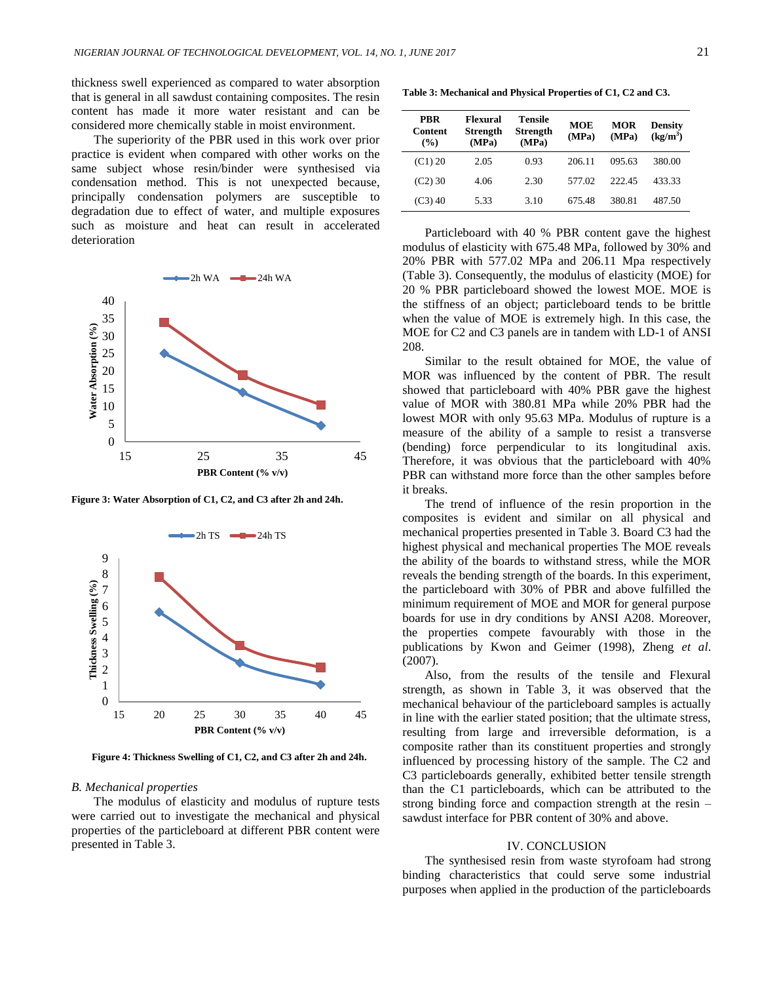thickness swell experienced as compared to water absorption that is general in all sawdust containing composites. The resin content has made it more water resistant and can be considered more chemically stable in moist environment.

The superiority of the PBR used in this work over prior practice is evident when compared with other works on the same subject whose resin/binder were synthesised via condensation method. This is not unexpected because, principally condensation polymers are susceptible to degradation due to effect of water, and multiple exposures such as moisture and heat can result in accelerated deterioration



**Figure 3: Water Absorption of C1, C2, and C3 after 2h and 24h.**



**Figure 4: Thickness Swelling of C1, C2, and C3 after 2h and 24h.**

## *B. Mechanical properties*

The modulus of elasticity and modulus of rupture tests were carried out to investigate the mechanical and physical properties of the particleboard at different PBR content were presented in Table 3.

**Table 3: Mechanical and Physical Properties of C1, C2 and C3.**

| <b>PRR</b><br>Content<br>(%) | Flexural<br><b>Strength</b><br>(MPa) | Tensile<br><b>Strength</b><br>(MPa) | <b>MOE</b><br>(MPa) | MOR<br>(MPa) | <b>Density</b><br>$(kg/m^3)$ |
|------------------------------|--------------------------------------|-------------------------------------|---------------------|--------------|------------------------------|
| (C1) 20                      | 2.05                                 | 0.93                                | 206.11              | 095.63       | 380.00                       |
| $(C2)$ 30                    | 4.06                                 | 2.30                                | 577.02              | 222.45       | 433.33                       |
| $(C3)$ 40                    | 5.33                                 | 3.10                                | 675.48              | 380.81       | 487.50                       |

Particleboard with 40 % PBR content gave the highest modulus of elasticity with 675.48 MPa, followed by 30% and 20% PBR with 577.02 MPa and 206.11 Mpa respectively (Table 3). Consequently, the modulus of elasticity (MOE) for 20 % PBR particleboard showed the lowest MOE. MOE is the stiffness of an object; particleboard tends to be brittle when the value of MOE is extremely high. In this case, the MOE for C2 and C3 panels are in tandem with LD-1 of ANSI 208.

Similar to the result obtained for MOE, the value of MOR was influenced by the content of PBR. The result showed that particleboard with 40% PBR gave the highest value of MOR with 380.81 MPa while 20% PBR had the lowest MOR with only 95.63 MPa. Modulus of rupture is a measure of the ability of a sample to resist a transverse (bending) force perpendicular to its longitudinal axis. Therefore, it was obvious that the particleboard with 40% PBR can withstand more force than the other samples before it breaks.

The trend of influence of the resin proportion in the composites is evident and similar on all physical and mechanical properties presented in Table 3. Board C3 had the highest physical and mechanical properties The MOE reveals the ability of the boards to withstand stress, while the MOR reveals the bending strength of the boards. In this experiment, the particleboard with 30% of PBR and above fulfilled the minimum requirement of MOE and MOR for general purpose boards for use in dry conditions by ANSI A208. Moreover, the properties compete favourably with those in the publications by Kwon and Geimer (1998), Zheng *et al*. (2007).

Also, from the results of the tensile and Flexural strength, as shown in Table 3, it was observed that the mechanical behaviour of the particleboard samples is actually in line with the earlier stated position; that the ultimate stress, resulting from large and irreversible deformation, is a composite rather than its constituent properties and strongly influenced by processing history of the sample. The C2 and C3 particleboards generally, exhibited better tensile strength than the C1 particleboards, which can be attributed to the strong binding force and compaction strength at the resin – sawdust interface for PBR content of 30% and above.

# IV. CONCLUSION

The synthesised resin from waste styrofoam had strong binding characteristics that could serve some industrial purposes when applied in the production of the particleboards